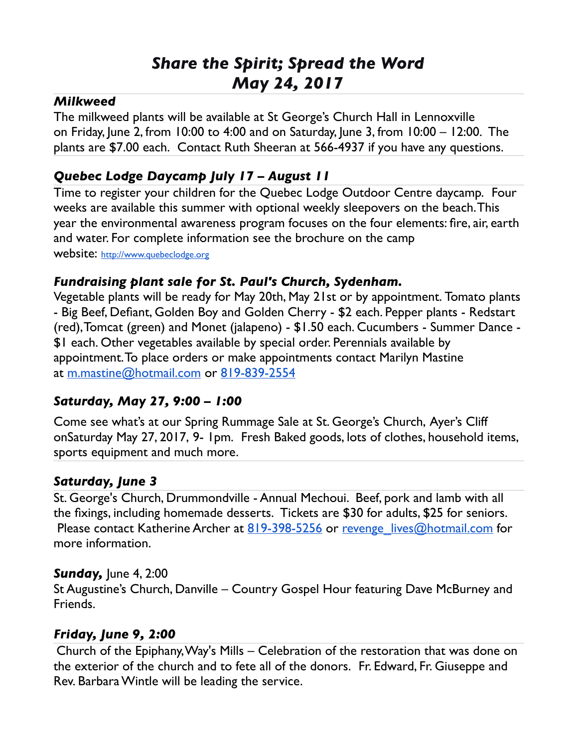# *Share the Spirit; Spread the Word May 24, 2017*

#### *Milkweed*

The milkweed plants will be available at St George's Church Hall in Lennoxville on Friday, June 2, from 10:00 to 4:00 and on Saturday, June 3, from 10:00 – 12:00. The plants are \$7.00 each. Contact Ruth Sheeran at 566-4937 if you have any questions.

# *Quebec Lodge Daycamp July 17 – August 11*

Time to register your children for the Quebec Lodge Outdoor Centre daycamp. Four weeks are available this summer with optional weekly sleepovers on the beach. This year the environmental awareness program focuses on the four elements: fire, air, earth and water. For complete information see the brochure on the camp website: [http://www.quebeclodge.org](http://www.quebeclodge.org/)

#### *Fundraising plant sale for St. Paul's Church, Sydenham.*

Vegetable plants will be ready for May 20th, May 21st or by appointment. Tomato plants - Big Beef, Defiant, Golden Boy and Golden Cherry - \$2 each. Pepper plants - Redstart (red), Tomcat (green) and Monet (jalapeno) - \$1.50 each. Cucumbers - Summer Dance - \$1 each. Other vegetables available by special order. Perennials available by appointment. To place orders or make appointments contact Marilyn Mastine at [m.mastine@hotmail.com](mailto:m.mastine@hotmail.com) or [819-839-2554](tel:(819)%20839-2554)

#### *Saturday, May 27, 9:00 – 1:00*

Come see what's at our Spring Rummage Sale at St. George's Church, Ayer's Cliff onSaturday May 27, 2017, 9- 1pm. Fresh Baked goods, lots of clothes, household items, sports equipment and much more.

#### *Saturday, June 3*

St. George's Church, Drummondville - Annual Mechoui. Beef, pork and lamb with all the fixings, including homemade desserts. Tickets are \$30 for adults, \$25 for seniors. Please contact Katherine Archer at  $819-398-5256$  or revenge lives@hotmail.com for more information.

#### *Sunday,* June 4, 2:00

St Augustine's Church, Danville – Country Gospel Hour featuring Dave McBurney and Friends.

#### *Friday, June 9, 2:00*

Church of the Epiphany, Way's Mills – Celebration of the restoration that was done on the exterior of the church and to fete all of the donors. Fr. Edward, Fr. Giuseppe and Rev. Barbara Wintle will be leading the service.